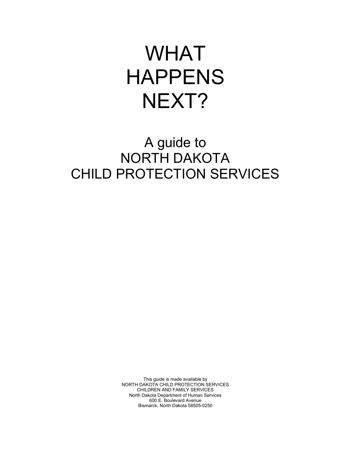# WHAT HAPPENS NEXT?

# A guide to NORTH DAKOTA CHILD PROTECTION SERVICES

This guide is made available by NORTH DAKOTA CHILD PROTECTION SERVICES CHILDREN AND FAMILY SERVICES North Dakota Department of Human Services 600 E. Boulevard Avenue Bismarck, North Dakota 58505-0250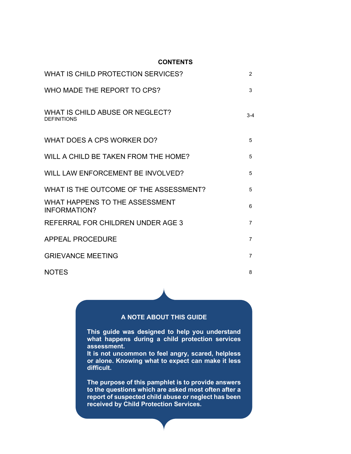#### **CONTENTS**

| WHAT IS CHILD PROTECTION SERVICES?                    | $\overline{2}$ |
|-------------------------------------------------------|----------------|
| WHO MADE THE REPORT TO CPS?                           | 3              |
| WHAT IS CHILD ABUSE OR NEGLECT?<br><b>DEFINITIONS</b> | $3-4$          |
| WHAT DOES A CPS WORKER DO?                            | 5              |
| WILL A CHILD BE TAKEN FROM THE HOME?                  | 5              |
| WILL LAW ENFORCEMENT BE INVOLVED?                     | 5              |
| WHAT IS THE OUTCOME OF THE ASSESSMENT?                | 5              |
| WHAT HAPPENS TO THE ASSESSMENT<br><b>INFORMATION?</b> | 6              |
| REFERRAL FOR CHILDREN UNDER AGE 3                     | 7              |
| APPEAL PROCEDURE                                      | $\overline{7}$ |
| <b>GRIEVANCE MEETING</b>                              | $\overline{7}$ |
| <b>NOTES</b>                                          | 8              |

#### **A NOTE ABOUT THIS GUIDE**

**This guide was designed to help you understand what happens during a child protection services assessment.**

**It is not uncommon to feel angry, scared, helpless or alone. Knowing what to expect can make it less difficult.**

**The purpose of this pamphlet is to provide answers to the questions which are asked most often after a report of suspected child abuse or neglect has been received by Child Protection Services.**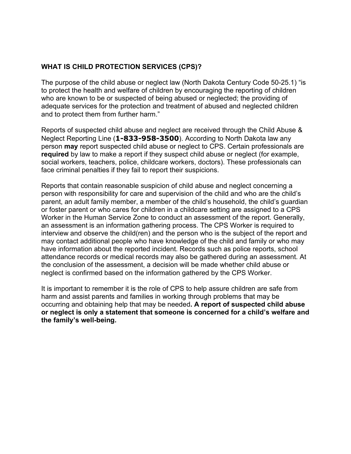#### **WHAT IS CHILD PROTECTION SERVICES (CPS)?**

The purpose of the child abuse or neglect law (North Dakota Century Code 50-25.1) "is to protect the health and welfare of children by encouraging the reporting of children who are known to be or suspected of being abused or neglected; the providing of adequate services for the protection and treatment of abused and neglected children and to protect them from further harm."

Reports of suspected child abuse and neglect are received through the Child Abuse & Neglect Reporting Line (**1-833-958-3500**). According to North Dakota law any person **may** report suspected child abuse or neglect to CPS. Certain professionals are **required** by law to make a report if they suspect child abuse or neglect (for example, social workers, teachers, police, childcare workers, doctors). These professionals can face criminal penalties if they fail to report their suspicions.

Reports that contain reasonable suspicion of child abuse and neglect concerning a person with responsibility for care and supervision of the child and who are the child's parent, an adult family member, a member of the child's household, the child's guardian or foster parent or who cares for children in a childcare setting are assigned to a CPS Worker in the Human Service Zone to conduct an assessment of the report. Generally, an assessment is an information gathering process. The CPS Worker is required to interview and observe the child(ren) and the person who is the subject of the report and may contact additional people who have knowledge of the child and family or who may have information about the reported incident. Records such as police reports, school attendance records or medical records may also be gathered during an assessment. At the conclusion of the assessment, a decision will be made whether child abuse or neglect is confirmed based on the information gathered by the CPS Worker.

It is important to remember it is the role of CPS to help assure children are safe from harm and assist parents and families in working through problems that may be occurring and obtaining help that may be needed**. A report of suspected child abuse or neglect is only a statement that someone is concerned for a child's welfare and the family's well-being.**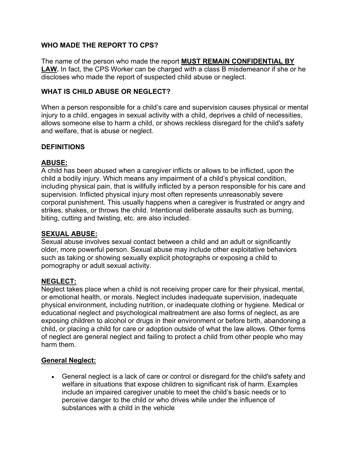#### **WHO MADE THE REPORT TO CPS?**

The name of the person who made the report **MUST REMAIN CONFIDENTIAL BY LAW.** In fact, the CPS Worker can be charged with a class B misdemeanor if she or he discloses who made the report of suspected child abuse or neglect.

#### **WHAT IS CHILD ABUSE OR NEGLECT?**

When a person responsible for a child's care and supervision causes physical or mental injury to a child, engages in sexual activity with a child, deprives a child of necessities, allows someone else to harm a child, or shows reckless disregard for the child's safety and welfare, that is abuse or neglect.

#### **DEFINITIONS**

#### **ABUSE:**

A child has been abused when a caregiver inflicts or allows to be inflicted, upon the child a bodily injury. Which means any impairment of a child's physical condition, including physical pain, that is willfully inflicted by a person responsible for his care and supervision. Inflicted physical injury most often represents unreasonably severe corporal punishment. This usually happens when a caregiver is frustrated or angry and strikes, shakes, or throws the child. Intentional deliberate assaults such as burning, biting, cutting and twisting, etc. are also included.

#### **SEXUAL ABUSE:**

Sexual abuse involves sexual contact between a child and an adult or significantly older, more powerful person. Sexual abuse may include other exploitative behaviors such as taking or showing sexually explicit photographs or exposing a child to pornography or adult sexual activity.

#### **NEGLECT:**

Neglect takes place when a child is not receiving proper care for their physical, mental, or emotional health, or morals. Neglect includes inadequate supervision, inadequate physical environment, including nutrition, or inadequate clothing or hygiene. Medical or educational neglect and psychological maltreatment are also forms of neglect, as are exposing children to alcohol or drugs in their environment or before birth, abandoning a child, or placing a child for care or adoption outside of what the law allows. Other forms of neglect are general neglect and failing to protect a child from other people who may harm them.

#### **General Neglect:**

• General neglect is a lack of care or control or disregard for the child's safety and welfare in situations that expose children to significant risk of harm. Examples include an impaired caregiver unable to meet the child's basic needs or to perceive danger to the child or who drives while under the influence of substances with a child in the vehicle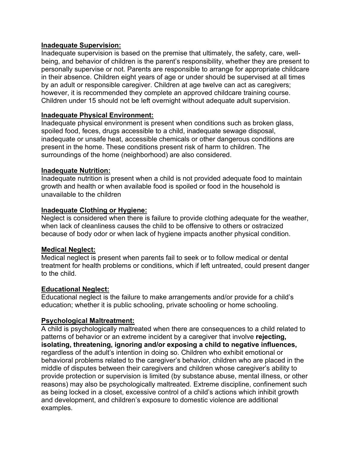#### **Inadequate Supervision:**

Inadequate supervision is based on the premise that ultimately, the safety, care, wellbeing, and behavior of children is the parent's responsibility, whether they are present to personally supervise or not. Parents are responsible to arrange for appropriate childcare in their absence. Children eight years of age or under should be supervised at all times by an adult or responsible caregiver. Children at age twelve can act as caregivers; however, it is recommended they complete an approved childcare training course. Children under 15 should not be left overnight without adequate adult supervision.

#### **Inadequate Physical Environment:**

Inadequate physical environment is present when conditions such as broken glass, spoiled food, feces, drugs accessible to a child, inadequate sewage disposal, inadequate or unsafe heat, accessible chemicals or other dangerous conditions are present in the home. These conditions present risk of harm to children. The surroundings of the home (neighborhood) are also considered.

#### **Inadequate Nutrition:**

Inadequate nutrition is present when a child is not provided adequate food to maintain growth and health or when available food is spoiled or food in the household is unavailable to the children

#### **Inadequate Clothing or Hygiene:**

Neglect is considered when there is failure to provide clothing adequate for the weather, when lack of cleanliness causes the child to be offensive to others or ostracized because of body odor or when lack of hygiene impacts another physical condition.

#### **Medical Neglect:**

Medical neglect is present when parents fail to seek or to follow medical or dental treatment for health problems or conditions, which if left untreated, could present danger to the child.

#### **Educational Neglect:**

Educational neglect is the failure to make arrangements and/or provide for a child's education; whether it is public schooling, private schooling or home schooling.

#### **Psychological Maltreatment:**

A child is psychologically maltreated when there are consequences to a child related to patterns of behavior or an extreme incident by a caregiver that involve **rejecting, isolating, threatening, ignoring and/or exposing a child to negative influences,** regardless of the adult's intention in doing so. Children who exhibit emotional or behavioral problems related to the caregiver's behavior, children who are placed in the middle of disputes between their caregivers and children whose caregiver's ability to provide protection or supervision is limited (by substance abuse, mental illness, or other reasons) may also be psychologically maltreated. Extreme discipline, confinement such as being locked in a closet, excessive control of a child's actions which inhibit growth and development, and children's exposure to domestic violence are additional examples.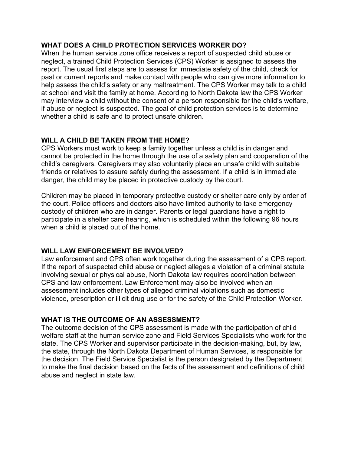#### **WHAT DOES A CHILD PROTECTION SERVICES WORKER DO?**

When the human service zone office receives a report of suspected child abuse or neglect, a trained Child Protection Services (CPS) Worker is assigned to assess the report. The usual first steps are to assess for immediate safety of the child, check for past or current reports and make contact with people who can give more information to help assess the child's safety or any maltreatment. The CPS Worker may talk to a child at school and visit the family at home. According to North Dakota law the CPS Worker may interview a child without the consent of a person responsible for the child's welfare, if abuse or neglect is suspected. The goal of child protection services is to determine whether a child is safe and to protect unsafe children.

## **WILL A CHILD BE TAKEN FROM THE HOME?**

CPS Workers must work to keep a family together unless a child is in danger and cannot be protected in the home through the use of a safety plan and cooperation of the child's caregivers. Caregivers may also voluntarily place an unsafe child with suitable friends or relatives to assure safety during the assessment. If a child is in immediate danger, the child may be placed in protective custody by the court.

Children may be placed in temporary protective custody or shelter care only by order of the court. Police officers and doctors also have limited authority to take emergency custody of children who are in danger. Parents or legal guardians have a right to participate in a shelter care hearing, which is scheduled within the following 96 hours when a child is placed out of the home.

#### **WILL LAW ENFORCEMENT BE INVOLVED?**

Law enforcement and CPS often work together during the assessment of a CPS report. If the report of suspected child abuse or neglect alleges a violation of a criminal statute involving sexual or physical abuse, North Dakota law requires coordination between CPS and law enforcement. Law Enforcement may also be involved when an assessment includes other types of alleged criminal violations such as domestic violence, prescription or illicit drug use or for the safety of the Child Protection Worker.

#### **WHAT IS THE OUTCOME OF AN ASSESSMENT?**

The outcome decision of the CPS assessment is made with the participation of child welfare staff at the human service zone and Field Services Specialists who work for the state. The CPS Worker and supervisor participate in the decision-making, but, by law, the state, through the North Dakota Department of Human Services, is responsible for the decision. The Field Service Specialist is the person designated by the Department to make the final decision based on the facts of the assessment and definitions of child abuse and neglect in state law.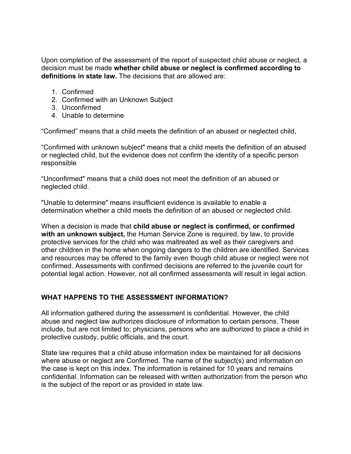Upon completion of the assessment of the report of suspected child abuse or neglect, a decision must be made **whether child abuse or neglect is confirmed according to definitions in state law.** The decisions that are allowed are:

- 1. Confirmed
- 2. Confirmed with an Unknown Subject
- 3. Unconfirmed
- 4. Unable to determine

"Confirmed" means that a child meets the definition of an abused or neglected child,

"Confirmed with unknown subject" means that a child meets the definition of an abused or neglected child, but the evidence does not confirm the identity of a specific person responsible

"Unconfirmed" means that a child does not meet the definition of an abused or neglected child.

"Unable to determine" means insufficient evidence is available to enable a determination whether a child meets the definition of an abused or neglected child.

When a decision is made that **child abuse or neglect is confirmed, or confirmed with an unknown subject,** the Human Service Zone is required, by law, to provide protective services for the child who was maltreated as well as their caregivers and other children in the home when ongoing dangers to the children are identified. Services and resources may be offered to the family even though child abuse or neglect were not confirmed. Assessments with confirmed decisions are referred to the juvenile court for potential legal action. However, not all confirmed assessments will result in legal action.

## **WHAT HAPPENS TO THE ASSESSMENT INFORMATION?**

All information gathered during the assessment is confidential. However, the child abuse and neglect law authorizes disclosure of information to certain persons. These include, but are not limited to; physicians, persons who are authorized to place a child in protective custody, public officials, and the court.

State law requires that a child abuse information index be maintained for all decisions where abuse or neglect are Confirmed. The name of the subject(s) and information on the case is kept on this index. The information is retained for 10 years and remains confidential. Information can be released with written authorization from the person who is the subject of the report or as provided in state law.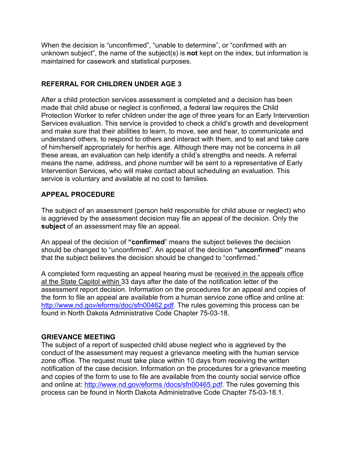When the decision is "unconfirmed", "unable to determine", or "confirmed with an unknown subject", the name of the subject(s) is **not** kept on the index, but information is maintained for casework and statistical purposes.

#### **REFERRAL FOR CHILDREN UNDER AGE 3**

After a child protection services assessment is completed and a decision has been made that child abuse or neglect is confirmed, a federal law requires the Child Protection Worker to refer children under the age of three years for an Early Intervention Services evaluation. This service is provided to check a child's growth and development and make sure that their abilities to learn, to move, see and hear, to communicate and understand others, to respond to others and interact with them, and to eat and take care of him/herself appropriately for her/his age. Although there may not be concerns in all these areas, an evaluation can help identify a child's strengths and needs. A referral means the name, address, and phone number will be sent to a representative of Early Intervention Services, who will make contact about scheduling an evaluation. This service is voluntary and available at no cost to families.

#### **APPEAL PROCEDURE**

The subject of an assessment (person held responsible for child abuse or neglect) who is aggrieved by the assessment decision may file an appeal of the decision. Only the **subject** of an assessment may file an appeal.

An appeal of the decision of **"confirmed**" means the subject believes the decision should be changed to "unconfirmed". An appeal of the decision **"unconfirmed"** means that the subject believes the decision should be changed to "confirmed."

A completed form requesting an appeal hearing must be received in the appeals office at the State Capitol within 33 days after the date of the notification letter of the assessment report decision. Information on the procedures for an appeal and copies of the form to file an appeal are available from a human service zone office and online at: [http://www.nd.gov/eforms/doc/sfn00462.pdf.](http://www.nd.gov/eforms/doc/sfn00462.pdf) The rules governing this process can be found in North Dakota Administrative Code Chapter 75-03-18.

#### **GRIEVANCE MEETING**

The subject of a report of suspected child abuse neglect who is aggrieved by the conduct of the assessment may request a grievance meeting with the human service zone office. The request must take place within 10 days from receiving the written notification of the case decision. Information on the procedures for a grievance meeting and copies of the form to use to file are available from the county social service office and online at: [http://www.nd.gov/eforms /docs/sfn00465.pdf.](http://www.nd.gov/eforms%20/docs/sfn00465.pdf) The rules governing this process can be found in North Dakota Administrative Code Chapter 75-03-18.1.